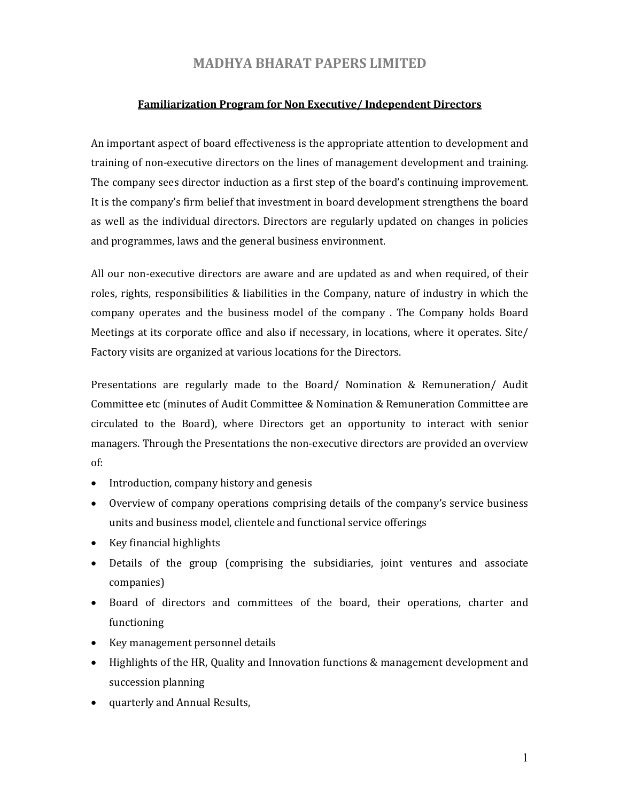## MADHYA BHARAT PAPERS LIMITED

## Familiarization Program for Non Executive/ Independent Directors

An important aspect of board effectiveness is the appropriate attention to development and training of non-executive directors on the lines of management development and training. The company sees director induction as a first step of the board's continuing improvement. It is the company's firm belief that investment in board development strengthens the board as well as the individual directors. Directors are regularly updated on changes in policies and programmes, laws and the general business environment.

All our non-executive directors are aware and are updated as and when required, of their roles, rights, responsibilities & liabilities in the Company, nature of industry in which the company operates and the business model of the company . The Company holds Board Meetings at its corporate office and also if necessary, in locations, where it operates. Site/ Factory visits are organized at various locations for the Directors.

Presentations are regularly made to the Board/ Nomination & Remuneration/ Audit Committee etc (minutes of Audit Committee & Nomination & Remuneration Committee are circulated to the Board), where Directors get an opportunity to interact with senior managers. Through the Presentations the non-executive directors are provided an overview of:

- Introduction, company history and genesis
- Overview of company operations comprising details of the company's service business units and business model, clientele and functional service offerings
- Key financial highlights
- Details of the group (comprising the subsidiaries, joint ventures and associate companies)
- Board of directors and committees of the board, their operations, charter and functioning
- Key management personnel details
- Highlights of the HR, Quality and Innovation functions & management development and succession planning
- quarterly and Annual Results,